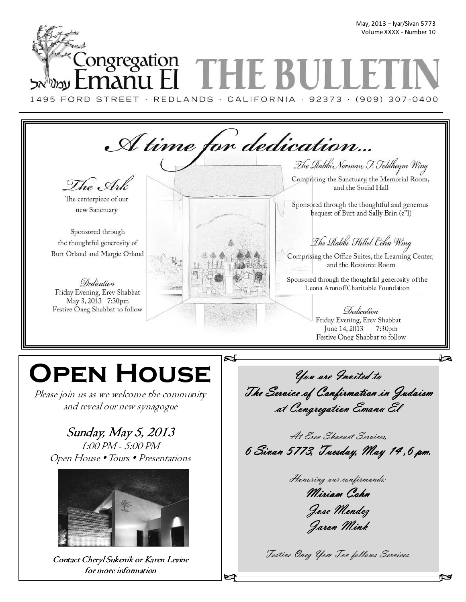## May, 2013 – Iyar/Sivan 5773 Volume XXXX - Number 10 \_ongregation

1495 FORD STREET · REDLANDS · CALIFORNIA · 92373 · (909) 307-0400



# **Open House**

Please join us as we welcome the community and reveal our new synagogue

## Sunday, May 5, 2013

1:00 PM - 5:00 PM Open House • Tours • Presentations



Contact Cheryl Sukenik or Karen Levine for more information

*You are Invited to You Invited to The Service of Confirmation in Judaism Service of Confirmation in Judaism at Congregation Emanu El at Emanu El* 

*At Erev Shavuot Services, 6 Sivan 5773, Tuesday, May 14 ,6 pm. 6 Sivan 5773, Tuesday, May 14 ,6 pm.* 

*Honoring our confirmands: Miriam Cohn Miriam Cohn Jose Mendez Mendez Jaron Mink Jaron Mink* 

*Festive Oneg Yom Tov follows Services.*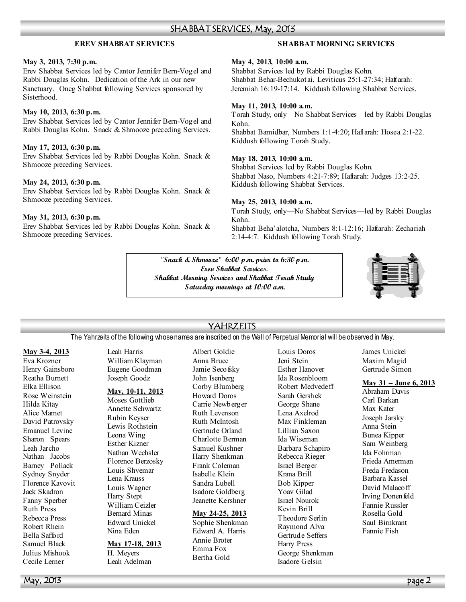#### SHABBAT SERVICES, May, 2013

#### **EREV SHABBAT SERVICES**

#### **May 3, 2013, 7:30 p.m.**

Erev Shabbat Services led by Cantor Jennifer Bern-Vogel and Rabbi Douglas Kohn. Dedication of the Ark in our new Sanctuary. Oneg Shabbat following Services sponsored by Sisterhood.

#### **May 10, 2013, 6:30 p.m.**

Erev Shabbat Services led by Cantor Jennifer Bern-Vogel and Rabbi Douglas Kohn. Snack & Shmooze preceding Services.

#### **May 17, 2013, 6:30 p.m.**

Erev Shabbat Services led by Rabbi Douglas Kohn. Snack & Shmooze preceding Services.

#### **May 24, 2013, 6:30 p.m.**

Erev Shabbat Services led by Rabbi Douglas Kohn. Snack & Shmooze preceding Services.

#### **May 31, 2013, 6:30 p.m.**

Erev Shabbat Services led by Rabbi Douglas Kohn. Snack & Shmooze preceding Services.

#### **SHABBAT MORNING SERVICES**

#### **May 4, 2013, 10:00 a.m.**

Shabbat Services led by Rabbi Douglas Kohn. Shabbat Behar-Bechukotai, Leviticus 25:1-27:34; Haftarah: Jeremiah 16:19-17:14. Kiddush following Shabbat Services.

#### **May 11, 2013, 10:00 a.m.**

Torah Study, only—No Shabbat Services—led by Rabbi Douglas Kohn. Shabbat Bamidbar, Numbers 1:1-4:20; Haftarah: Hosea 2:1-22. Kiddush following Torah Study.

#### **May 18, 2013, 10:00 a.m.**

Shabbat Services led by Rabbi Douglas Kohn. Shabbat Naso, Numbers 4:21-7:89; Haftarah: Judges 13:2-25. Kiddush following Shabbat Services.

#### **May 25, 2013, 10:00 a.m.**

2:14-4:7. Kiddush following Torah Study.

Torah Study, only—No Shabbat Services—led by Rabbi Douglas Kohn. Shabbat Beha'alotcha, Numbers 8:1-12:16; Haftarah: Zechariah

**"Snack & Shmooze" 6:00 p.m. prior to 6:30 p.m. Erev Shabbat Services. Shabbat Morning Services and Shabbat Torah Study Saturday mornings at 10:00 a.m.** 



#### YAHRZEITS

The Yahrzeits of the following whose names are inscribed on the Wall of Perpetual Memorial will be observed in May.

#### **May 3-4, 2013**

Eva Krozner Henry Gainsboro Reatha Burnett Elka Ellison Rose Weinstein Hilda Kitay Alice Mamet David Patrovsky Emanuel Levine Sharon Spears Leah Jarcho Nathan Jacobs Barney Pollack Sydney Snyder Florence Kavovit Jack Skadron Fanny Sperber Ruth Press Rebecca Press Robert Rhein Bella Safford Samuel Black Julius Mishook Cecile Lerner

Leah Harris William Klayman Eugene Goodman Joseph Goodz

#### **May, 10-11, 2013**

Moses Gottlieb Annette Schwartz Rubin Keyser Lewis Rothstein Leona Wing Esther Kizner Nathan Wechsler Florence Berzosky Louis Shvemar Lena Krauss Louis Wagner Harry Stept William Ceizler Bernard Minas Edward Unickel Nina Eden

#### **May 17-18, 2013**

H. Meyers Leah Adelman Albert Goldie Anna Bruce Jamie Secofsky John Isenberg Corby Blumberg Howard Doros Carrie Newberger Ruth Levenson Ruth McIntosh Gertrude Orland Charlotte Berman Samuel Kushner Harry Shenkman Frank Coleman Isabelle Klein Sandra Lubell Isadore Goldberg Jeanette Kershner

#### **May 24-25, 2013**

Sophie Shenkman Edward A. Harris Annie Broter Emma Fox Bertha Gold

Louis Doros Jeni Stein Esther Hanover Ida Rosenbloom Robert Medvedeff Sarah Gershek George Shane Lena Axelrod Max Finkleman Lillian Saxon Ida Wiseman Barbara Schapiro Rebecca Rieger Israel Berger Krana Brill Bob Kipper Yoav Gilad Israel Nourok Kevin Brill Theodore Serlin Raymond Alva Gertrude Seffers Harry Press George Shenkman Isadore Gelsin

James Unickel Maxim Magid Gertrude Simon

#### **May 31 – June 6, 2013**

Abraham Davis Carl Barkan Max Kater Joseph Jarsky Anna Stein Bunea Kipper Sam Weinberg Ida Fohrman Frieda Amerman Freda Fredason Barbara Kassel David Malacoff Irving Donenfeld Fannie Russler Rosella Gold Saul Birnkrant Fannie Fish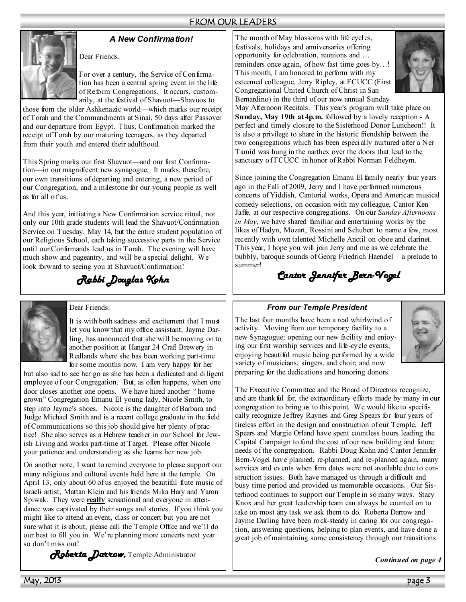#### FROM OUR LEADERS



*A New Confirmation!* 

For over a century, the Service of Confirmation has been a central spring event in the life of Reform Congregations. It occurs, customarily, at the festival of Shavuot—Shavuos to

those from the older Ashkenazic world—which marks our receipt of Torah and the Commandments at Sinai, 50 days after Passover and our departure from Egypt. Thus, Confirmation marked the receipt of Torah by our maturing teenagers, as they departed from their youth and entered their adulthood.

Dear Friends,

This Spring marks our first Shavuot—and our first Confirmation—in our magnificent new synagogue. It marks, therefore, our own transitions of departing and entering, a new period of our Congregation, and a milestone for our young people as well as for all of us.

And this year, initiating a New Confirmation service ritual, not only our 10th grade students will lead the Shavuot/Confirmation Service on Tuesday, May 14, but the entire student population of our Religious School, each taking successive parts in the Service until our Confirmands lead us in Torah. The evening will have much show and pageantry, and will be a special delight. We look forward to seeing you at Shavuot/Confirmation!

*Rabbi Douglas Kohn* 



#### Dear Friends:

It is with both sadness and excitement that I must let you know that my office assistant, Jayme Darling, has announced that she will be moving on to another position at Hangar 24 Craft Brewery in Redlands where she has been working part-time for some months now. I am very happy for her

but also sad to see her go as she has been a dedicated and diligent employee of our Congregation. But, as often happens, when one door closes another one opens. We have hired another " home grown" Congregation Emanu El young lady, Nicole Smith, to step into Jayme's shoes. Nicole is the daughter of Barbara and Judge Michael Smith and is a recent college graduate in the field of Communications so this job should give her plenty of practice! She also serves as a Hebrew teacher in our School for Jewish Living and works part-time at Target. Please offer Nicole your patience and understanding as she learns her new job.

On another note, I want to remind everyone to please support our many religious and cultural events held here at the temple. On April 13, only about 60 of us enjoyed the beautiful flute music of Israeli artist, Mattan Klein and his friends Mika Hary and Yaron Spiwak. They were **really** sensational and everyone in attendance was captivated by their songs and stories. If you think you might like to attend an event, class or concert but you are not sure what it is about, please call the Temple Office and we'll do our best to fill you in. We're planning more concerts next year so don't miss out!

*Roberta Darrow, Roberta Darrow* Temple Administrator

The month of May blossoms with life cycles, festivals, holidays and anniversaries offering opportunity for celebration, reunions and … reminders once again, of how fast time goes by…! This month, I am honored to perform with my esteemed colleague, Jerry Ripley, at FCUCC (First Congregational United Church of Christ in San Bernardino) in the third of our now annual Sunday



May Afternoon Recitals. This year's program will take place on **Sunday, May 19th at 4p.m.** followed by a lovely reception - A perfect and timely closure to the Sisterhood Donor Luncheon!! It is also a privilege to share in the historic friendship between the two congregations which has been especially nurtured after a Ner Tamid was hung in the narthex over the doors that lead to the sanctuary of FCUCC in honor of Rabbi Norman Feldheym.

Since joining the Congregation Emanu El family nearly four years ago in the Fall of 2009, Jerry and I have performed numerous concerts of Yiddish, Cantorial works, Opera and American musical comedy selections, on occasion with my colleague, Cantor Ken Jaffe, at our respective congregations. On our *Sunday Afternoons in May*, we have shared familiar and entertaining works by the likes of Hadyn, Mozart, Rossini and Schubert to name a few, most recently with own talented Michelle Anctil on oboe and clarinet. This year, I hope you will join Jerry and me as we celebrate the bubbly, baroque sounds of Georg Friedrich Haendel – a prelude to summer!

*Cantor Jennifer Bern- Cantor Jennifer Bern-Vogel*

#### *From our Temple President*

The last four months have been a real whirlwind of activity. Moving from our temporary facility to a new Synagogue; opening our new facility and enjoying our first worship services and life-cycle events; enjoying beautiful music being performed by a wide variety of musicians, singers, and choir; and now preparing for the dedications and honoring donors.



The Executive Committee and the Board of Directors recognize, and are thank ful for, the extraordinary efforts made by many in our congregation to bring us to this point. We would like to specifically recognize Jeffrey Raynes and Greg Spears for four years of tireless effort in the design and construction of our Temple. Jeff Spears and Margie Orland have spent countless hours leading the Capital Campaign to fund the cost of our new building and future needs of the congregation. Rabbi Doug Kohn and Cantor Jennifer Bern-Vogel have planned, re-planned, and re-planned again, many services and events when firm dates were not available due to construction issues. Both have managed us through a difficult and busy time period and provided us memorable occasions. Our Sisterhood continues to support our Temple in so many ways. Stacy Knox and her great leadership team can always be counted on to take on most any task we ask them to do. Roberta Darrow and Jayme Darling have been rock-steady in caring for our congregation, answering questions, helping to plan events, and have done a great job of maintaining some consistency through our transitions.

*Continued on page 4*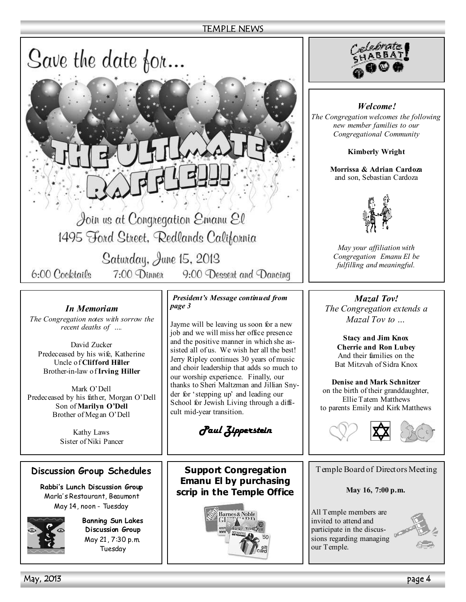#### TEMPLE NEWS



1495 Ford Street, Redlands California

Saturday, June 15, 2013 7:00 Dinner 9:00 Dessert and Dancing

6:00 Cocktails

#### *In Memoriam*

*The Congregation notes with sorrow the recent deaths of ….* 

David Zucker Predeceased by his wife, Katherine Uncle of **Clifford Hiller**  Brother-in-law of **Irving Hiller** 

Mark O'Dell Predeceased by his father, Morgan O'Dell Son of **Marilyn O'Dell**  Brother of Megan O'Dell

> Kathy Laws Sister of Niki Pancer

#### **Discussion Group Schedules**

**Rabbi's Lunch Discussion Group**  Marla' s Restaurant, Beaumont May 14, noon - Tuesday



**Banning Sun Lakes Discussion Group**  May 21, 7:30 p.m. Tuesday

*President's Message continued from page 3* 

Jayme will be leaving us soon for a new job and we will miss her office presence and the positive manner in which she assisted all of us. We wish her all the best! Jerry Ripley continues 30 years of music and choir leadership that adds so much to our worship experience. Finally, our thanks to Sheri Maltzman and Jillian Snyder for 'stepping up' and leading our School for Jewish Living through a difficult mid-year transition.

*Paul Zipperstein Paul Zipperstein* 

**Support Congregation Emanu El by purchasing scrip in the Temple Office** 





*Welcome! The Congregation welcomes the following new member families to our Congregational Community* 

**Kimberly Wright** 

**Morrissa & Adrian Cardoza**  and son, Sebastian Cardoza



*May your affiliation with Congregation Emanu El be fulfilling and meaningful.* 

*Mazal Tov! The Congregation extends a Mazal Tov to …* 

**Stacy and Jim Knox Cherrie and Ron Lubey**  And their families on the Bat Mitzvah of Sidra Knox

**Denise and Mark Schnitzer**  on the birth of their granddaughter, Ellie Tatem Matthews to parents Emily and Kirk Matthews



Temple Board of Directors Meeting

**May 16, 7:00 p.m.** 

All Temple members are invited to attend and participate in the discussions regarding managing our Temple.

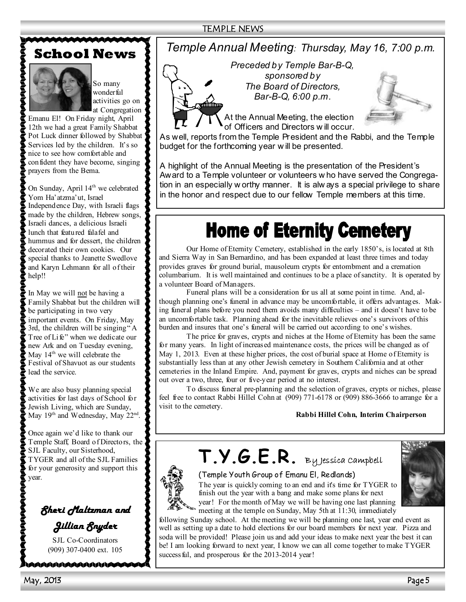#### TEMPLE NEWS

## **School News**



So many wonderful activities go on at Congregation

Emanu El! On Friday night, April 12th we had a great Family Shabbat Pot Luck dinner followed by Shabbat Services led by the children. It's so nice to see how comfortable and confident they have become, singing prayers from the Bema.

On Sunday, April 14<sup>th</sup> we celebrated Yom Ha'atzma'ut, Israel Independence Day, with Israeli flags made by the children, Hebrew songs, Israeli dances, a delicious Israeli lunch that featured falafel and hummus and for dessert, the children decorated their own cookies. Our special thanks to Jeanette Swedlove and Karyn Lehmann for all of their help!!

In May we will not be having a Family Shabbat but the children will be participating in two very important events. On Friday, May 3rd, the children will be singing " A Tree of Life" when we dedicate our new Ark and on Tuesday evening, May 14<sup>th</sup> we will celebrate the Festival of Shavuot as our students lead the service.

We are also busy planning special activities for last days of School for Jewish Living, which are Sunday, May  $19<sup>th</sup>$  and Wednesday, May  $22<sup>nd</sup>$ .

Once again we'd like to thank our Temple Staff, Board of Directors, the SJL Faculty, our Sisterhood, TYGER and all of the SJL Families for your generosity and support this year.



SJL Co-Coordinators (909) 307-0400 ext. 105

MAAAAAAAAAAJUUU

### *Temple Annual Meeting: Thursday, May 16, 7:00 p.m.*

*Preceded by Temple Bar-B-Q, sponsored by The Board of Directors, Bar-B-Q, 6:00 p.m.* 



At the Annual Meeting, the election of Officers and Directors w ill occur.

As well, reports from the Temple President and the Rabbi, and the Temple budget for the forthcoming year w ill be presented.

A highlight of the Annual Meeting is the presentation of the President's Award to a Temple volunteer or volunteers w ho have served the Congregation in an especially w orthy manner. It is alw ays a special privilege to share in the honor and respect due to our fellow Temple members at this time.

## **Home of Eternity Cemetery**

 Our Home of Eternity Cemetery, established in the early 1850's, is located at 8th and Sierra Way in San Bernardino, and has been expanded at least three times and today provides graves for ground burial, mausoleum crypts for entombment and a cremation columbarium. It is well maintained and continues to be a place of sanctity. It is operated by a volunteer Board of Managers.

 Funeral plans will be a consideration for us all at some point in time. And, although planning one's funeral in advance may be uncomfortable, it offers advantages. Making funeral plans before you need them avoids many difficulties – and it doesn't have to be an uncomfortable task. Planning ahead for the inevitable relieves one's survivors of this burden and insures that one's funeral will be carried out according to one's wishes.

 The price for graves, crypts and niches at the Home of Eternity has been the same for many years. In light of increased maintenance costs, the prices will be changed as of May 1, 2013. Even at these higher prices, the cost of burial space at Home of Eternity is substantially less than at any other Jewish cemetery in Southern California and at other cemeteries in the Inland Empire. And, payment for graves, crypts and niches can be spread out over a two, three, four or five-year period at no interest.

 To discuss funeral pre-planning and the selection of graves, crypts or niches, please feel free to contact Rabbi Hillel Cohn at (909) 771-6178 or (909) 886-3666 to arrange for a visit to the cemetery.

#### **Rabbi Hillel Cohn, Interim Chairperson**



**T.Y.G.E.R.** By Jessica Campbell

(Temple Youth Group of Emanu El, Redlands) The year is quickly coming to an end and it's time for TYGER to finish out the year with a bang and make some plans for next year! For the month of May we will be having one last planning



meeting at the temple on Sunday, May 5th at 11:30, immediately following Sunday school. At the meeting we will be planning one last, year end event as

well as setting up a date to hold elections for our board members for next year. Pizza and soda will be provided! Please join us and add your ideas to make next year the best it can be! I am looking forward to next year, I know we can all come together to make TYGER success ful, and prosperous for the 2013-2014 year!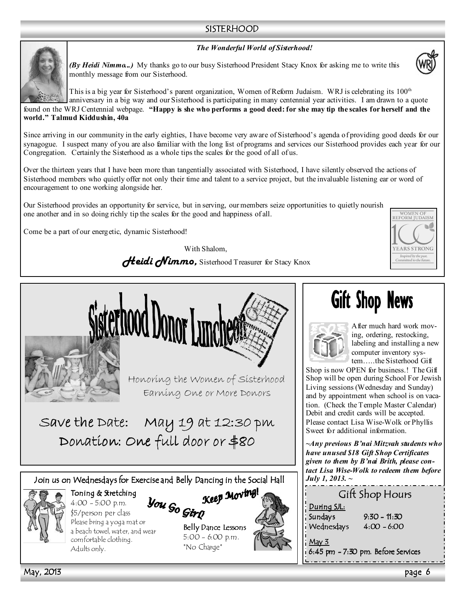#### SISTERHOOD

#### *The Wonderful World of Sisterhood!*



*(By Heidi Nimmo...)* My thanks go to our busy Sisterhood President Stacy Knox for asking me to write this monthly message from our Sisterhood.



This is a big year for Sisterhood's parent organization, Women of Reform Judaism. WRJ is celebrating its 100<sup>th</sup> anniversary in a big way and our Sisterhood is participating in many centennial year activities. I am drawn to a quote found on the WRJ Centennial webpage. **"Happy is she who performs a good deed: for she may tip the scales for herself and the world." Talmud Kiddushin, 40a** 

Since arriving in our community in the early eighties, I have become very aware of Sisterhood's agenda of providing good deeds for our synagogue. I suspect many of you are also familiar with the long list of programs and services our Sisterhood provides each year for our Congregation. Certainly the Sisterhood as a whole tips the scales for the good of all of us.

Over the thirteen years that I have been more than tangentially associated with Sisterhood, I have silently observed the actions of Sisterhood members who quietly offer not only their time and talent to a service project, but the invaluable listening ear or word of encouragement to one working alongside her.

Our Sisterhood provides an opportunity for service, but in serving, our members seize opportunities to quietly nourish one another and in so doing richly tip the scales for the good and happiness of all.

Come be a part of our energetic, dynamic Sisterhood!

With Shalom, *Heidi Nimmo, Sisterhood Treasurer for Stacy Knox* 







Honoring the Women of Sisterhood Earning One or More Donors

Save the Date: May 19 at 12:30 pm Donation: One full door or \$80

Join us on Wednesdays for Exercise and Belly Dancing in the Social Hall g



Toning & Stretching 4:00 - 5:00 p.m. \$5/person per class 101111<sub>9 - -</sub><br>4:00 – 5:00 p.m. **- You Go Girn**<br>Please bring a yoga mat or a beach towel, water, and wear comfortable clothing. Adults only.

Belly Dance Lessons 5:00 - 6:00 p.m. \*No Charge\*

Keep Moving

## **Gift Shop News**



After much hard work moving, ordering, restocking, labeling and installing a new computer inventory system…..the Sisterhood Gift

Shop is now OPEN for business.! The Gift Shop will be open during School For Jewish Living sessions (Wednesday and Sunday) and by appointment when school is on vacation. (Check the Temple Master Calendar) Debit and credit cards will be accepted. Please contact Lisa Wise-Wolk or Phyllis Sweet for additional information.

*~Any previous B'nai Mitzvah students who have unused \$18 Gift Shop Certificates given to them by B'nai Brith, please contact Lisa Wise-Wolk to redeem them before July 1, 2013. ~* 

| Gift Shop Hours                                    |                |
|----------------------------------------------------|----------------|
| <u>During SJL:</u>                                 |                |
| Sundays                                            | $9:30 - 11:30$ |
| Wednesdays                                         | $4:00 - 6:00$  |
| <u>May 3</u><br>6:45 pm - 7:30 pm. Before Services |                |

May, 2013 page 6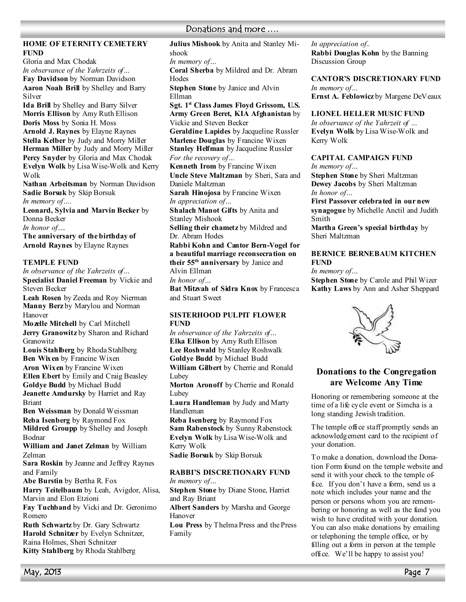#### **HOME OF ETERNITY CEMETERY FUND**

Gloria and Max Chodak *In observance of the Yahrzeits of…*  **Fay Davidson** by Norman Davidson Aaron Noah Brill by Shelley and Barry Silver

**Ida Brill** by Shelley and Barry Silver **Morris Ellison** by Amy Ruth Ellison **Doris Moss** by Sonia H. Moss **Arnold J. Raynes** by Elayne Raynes **Stella Kelber** by Judy and Morry Miller **Herman Miller** by Judy and Morry Miller **Percy Snyder** by Gloria and Max Chodak **Evelyn Wolk** by Lisa Wise-Wolk and Kerry Wolk

**Nathan Arbeitsman** by Norman Davidson **Sadie Borsuk** by Skip Borsuk *In memory of….* 

**Leonard, Sylvia and Marvin Becker** by Donna Becker *In honor of….* 

**The anniversary of the birthday of Arnold Raynes** by Elayne Raynes

#### **TEMPLE FUND**

*In observance of the Yahrzeits of…*  **Specialist Daniel Freeman** by Vickie and Steven Becker

**Leah Rosen** by Zeeda and Roy Nierman **Manny Berz** by Marylou and Norman Hanover

**Mozelle Mitchell** by Carl Mitchell **Jerry Granowitz** by Sharon and Richard Granowitz

**Louis Stahlberg** by Rhoda Stahlberg **Ben Wixen** by Francine Wixen **Aron Wixen** by Francine Wixen **Ellen Ebert** by Emily and Craig Beasley

**Goldye Budd** by Michael Budd **Jeanette Amdursky** by Harriet and Ray Briant

**Ben Weissman** by Donald Weissman **Reba Isenberg** by Raymond Fox **Mildred Groupp** by Shelley and Joseph

Bodnar

**William and Janet Zelman** by William Zelman

**Sara Roskin** by Jeanne and Jeffrey Raynes and Family

**Abe Burstin** by Bertha R. Fox

**Harry Teitelbaum** by Leah, Avigdor, Alisa, Marvin and Elon Etzioni

**Fay Tuchband** by Vicki and Dr. Geronimo Romero

**Ruth Schwartz** by Dr. Gary Schwartz **Harold Schnitzer** by Evelyn Schnitzer, Raina Holmes, Sheri Schnitzer **Kitty Stahlberg** by Rhoda Stahlberg

### Donations and more ....

**Julius Mishook** by Anita and Stanley Mishook

*In memory of…* 

**Coral Sherba** by Mildred and Dr. Abram Hodes

**Stephen Stone** by Janice and Alvin Ellman

**Sgt. 1st Class James Floyd Grissom, U.S. Army Green Beret, KIA Afghanistan** by Vickie and Steven Becker

**Geraldine Lapides** by Jacqueline Russler **Marlene Douglas** by Francine Wixen **Stanley Helfman** by Jacqueline Russler *For the recovery of…* 

**Kenneth Irom** by Francine Wixen **Uncle Steve Maltzman** by Sheri, Sara and Daniele Maltzman

**Sarah Hinojosa** by Francine Wixen *In appreciation of…* 

**Shalach Manot Gifts** by Anita and Stanley Mishook

**Selling their chametz** by Mildred and Dr. Abram Hodes

**Rabbi Kohn and Cantor Bern-Vogel for a beautiful marriage reconsecration on their 55th anniversary** by Janice and Alvin Ellman

*In honor of…* 

**Bat Mitzvah of Sidra Knox** by Francesca and Stuart Sweet

#### **SISTERHOOD PULPIT FLOWER FUND**

*In observance of the Yahrzeits of…* **Elka Ellison** by Amy Ruth Ellison **Lee Roshwald** by Stanley Roshwalk **Goldye Budd** by Michael Budd **William Gilbert** by Cherrie and Ronald Lubey **Morton Aronoff** by Cherrie and Ronald Lubey

**Laura Handleman** by Judy and Marty Handleman

**Reba Isenberg** by Raymond Fox **Sam Rabenstock** by Sunny Rabenstock **Evelyn Wolk** by Lisa Wise-Wolk and Kerry Wolk

**Sadie Borsuk** by Skip Borsuk

#### **RABBI'S DISCRETIONARY FUND** *In memory of…*

**Stephen Stone** by Diane Stone, Harriet and Ray Briant

**Albert Sanders** by Marsha and George Hanover

**Lou Press** by Thelma Press and the Press Family

*In appreciation of..*  **Rabbi Douglas Kohn** by the Banning Discussion Group

**CANTOR'S DISCRETIONARY FUND** *In memory of…*  **Ernst A. Feblowicz** by Margene DeVeaux

**LIONEL HELLER MUSIC FUND** 

*In observance of the Yahrzeit of …*  **Evelyn Wolk** by Lisa Wise-Wolk and Kerry Wolk

#### **CAPITAL CAMPAIGN FUND**

*In memory of…* 

**Stephen Stone** by Sheri Maltzman **Dewey Jacobs** by Sheri Maltzman *In honor of…* 

**First Passover celebrated in our new synagogue** by Michelle Anctil and Judith Smith

**Martha Green's special birthday** by Sheri Maltzman

#### **BERNICE BERNEBAUM KITCHEN FUND**

*In memory of…* 

**Stephen Stone** by Carole and Phil Wizer **Kathy Laws** by Ann and Asher Sheppard



#### **Donations to the Congregation are Welcome Any Time**

Honoring or remembering someone at the time of a life cycle event or Simcha is a long standing Jewish tradition.

The temple office staff promptly sends an acknowledgement card to the recipient of your donation.

To make a donation, download the Donation Form found on the temple website and send it with your check to the temple office. If you don't have a form, send us a note which includes your name and the person or persons whom you are remembering or honoring as well as the fund you wish to have credited with your donation. You can also make donations by emailing or telephoning the temple office, or by filling out a form in person at the temple office. We'll be happy to assist you!